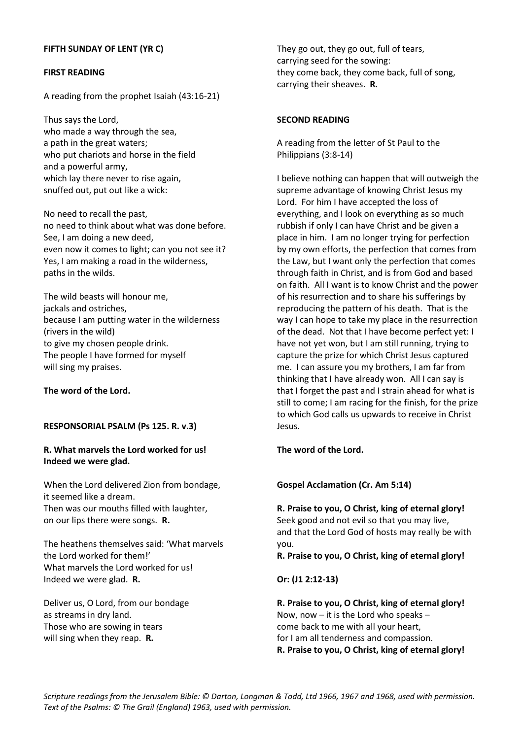# **FIRST READING**

A reading from the prophet Isaiah (43:16-21)

Thus says the Lord, who made a way through the sea, a path in the great waters; who put chariots and horse in the field and a powerful army, which lay there never to rise again, snuffed out, put out like a wick:

No need to recall the past, no need to think about what was done before. See, I am doing a new deed, even now it comes to light; can you not see it? Yes, I am making a road in the wilderness, paths in the wilds.

The wild beasts will honour me, jackals and ostriches, because I am putting water in the wilderness (rivers in the wild) to give my chosen people drink. The people I have formed for myself will sing my praises.

**The word of the Lord.**

### **RESPONSORIAL PSALM (Ps 125. R. v.3)**

## **R. What marvels the Lord worked for us! Indeed we were glad.**

When the Lord delivered Zion from bondage, it seemed like a dream. Then was our mouths filled with laughter, on our lips there were songs. **R.**

The heathens themselves said: 'What marvels the Lord worked for them!' What marvels the Lord worked for us! Indeed we were glad. **R.**

Deliver us, O Lord, from our bondage as streams in dry land. Those who are sowing in tears will sing when they reap. **R.**

They go out, they go out, full of tears, carrying seed for the sowing: they come back, they come back, full of song, carrying their sheaves. **R.**

### **SECOND READING**

A reading from the letter of St Paul to the Philippians (3:8-14)

I believe nothing can happen that will outweigh the supreme advantage of knowing Christ Jesus my Lord. For him I have accepted the loss of everything, and I look on everything as so much rubbish if only I can have Christ and be given a place in him. I am no longer trying for perfection by my own efforts, the perfection that comes from the Law, but I want only the perfection that comes through faith in Christ, and is from God and based on faith. All I want is to know Christ and the power of his resurrection and to share his sufferings by reproducing the pattern of his death. That is the way I can hope to take my place in the resurrection of the dead. Not that I have become perfect yet: I have not yet won, but I am still running, trying to capture the prize for which Christ Jesus captured me. I can assure you my brothers, I am far from thinking that I have already won. All I can say is that I forget the past and I strain ahead for what is still to come; I am racing for the finish, for the prize to which God calls us upwards to receive in Christ Jesus.

#### **The word of the Lord.**

#### **Gospel Acclamation (Cr. Am 5:14)**

**R. Praise to you, O Christ, king of eternal glory!** Seek good and not evil so that you may live, and that the Lord God of hosts may really be with you.

**R. Praise to you, O Christ, king of eternal glory!**

**Or: (J1 2:12-13)**

**R. Praise to you, O Christ, king of eternal glory!** Now, now – it is the Lord who speaks – come back to me with all your heart, for I am all tenderness and compassion. **R. Praise to you, O Christ, king of eternal glory!**